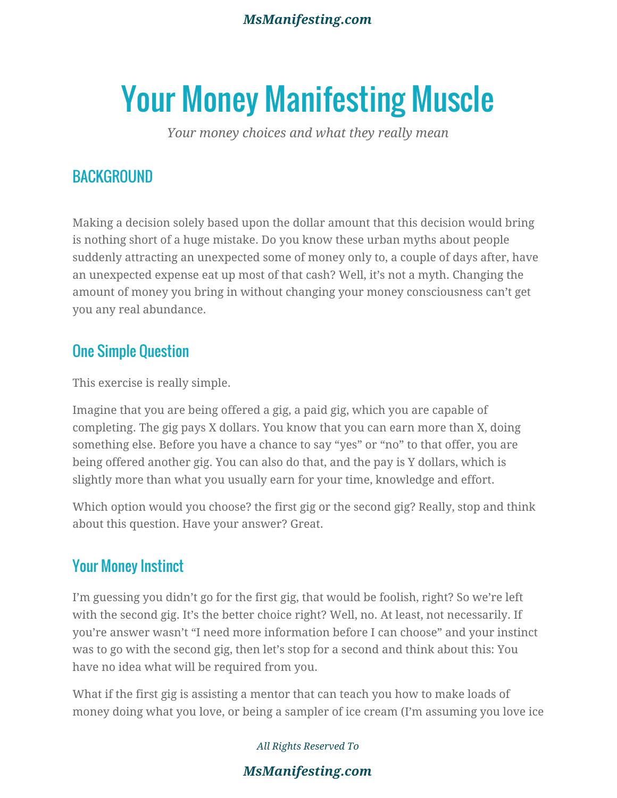#### *MsManifesting.com*

# Your Money Manifesting Muscle

*Your money choices and what they really mean*

## **BACKGROUND**

Making a decision solely based upon the dollar amount that this decision would bring is nothing short of a huge mistake. Do you know these urban myths about people suddenly attracting an unexpected some of money only to, a couple of days after, have an unexpected expense eat up most of that cash? Well, it's not a myth. Changing the amount of money you bring in without changing your money consciousness can't get you any real abundance.

#### One Simple Question

This exercise is really simple.

Imagine that you are being offered a gig, a paid gig, which you are capable of completing. The gig pays X dollars. You know that you can earn more than X, doing something else. Before you have a chance to say "yes" or "no" to that offer, you are being offered another gig. You can also do that, and the pay is Y dollars, which is slightly more than what you usually earn for your time, knowledge and effort.

Which option would you choose? the first gig or the second gig? Really, stop and think about this question. Have your answer? Great.

## Your Money Instinct

I'm guessing you didn't go for the first gig, that would be foolish, right? So we're left with the second gig. It's the better choice right? Well, no. At least, not necessarily. If you're answer wasn't "I need more information before I can choose" and your instinct was to go with the second gig, then let's stop for a second and think about this: You have no idea what will be required from you.

What if the first gig is assisting a mentor that can teach you how to make loads of money doing what you love, or being a sampler of ice cream (I'm assuming you love ice

*All Rights Reserved To*

#### *MsManifesting.com*